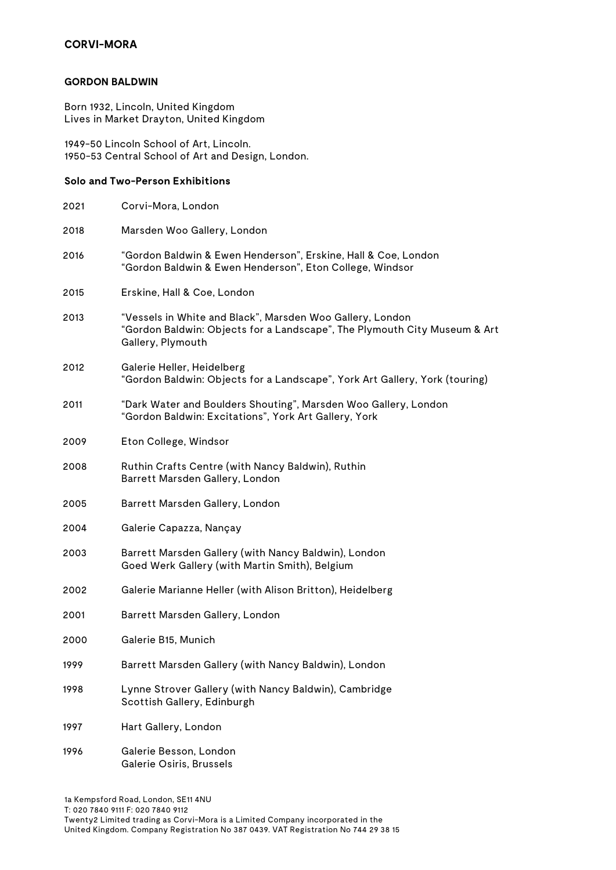#### **GORDON BALDWIN**

Born 1932, Lincoln, United Kingdom Lives in Market Drayton, United Kingdom

1949-50 Lincoln School of Art, Lincoln. 1950-53 Central School of Art and Design, London.

### **Solo and Two-Person Exhibitions**

| 2021 | Corvi-Mora, London                                                                                                                                          |
|------|-------------------------------------------------------------------------------------------------------------------------------------------------------------|
| 2018 | Marsden Woo Gallery, London                                                                                                                                 |
| 2016 | "Gordon Baldwin & Ewen Henderson", Erskine, Hall & Coe, London<br>"Gordon Baldwin & Ewen Henderson", Eton College, Windsor                                  |
| 2015 | Erskine, Hall & Coe, London                                                                                                                                 |
| 2013 | "Vessels in White and Black", Marsden Woo Gallery, London<br>"Gordon Baldwin: Objects for a Landscape", The Plymouth City Museum & Art<br>Gallery, Plymouth |
| 2012 | Galerie Heller, Heidelberg<br>"Gordon Baldwin: Objects for a Landscape", York Art Gallery, York (touring)                                                   |
| 2011 | "Dark Water and Boulders Shouting", Marsden Woo Gallery, London<br>"Gordon Baldwin: Excitations", York Art Gallery, York                                    |
| 2009 | Eton College, Windsor                                                                                                                                       |
| 2008 | Ruthin Crafts Centre (with Nancy Baldwin), Ruthin<br>Barrett Marsden Gallery, London                                                                        |
| 2005 | Barrett Marsden Gallery, London                                                                                                                             |
| 2004 | Galerie Capazza, Nançay                                                                                                                                     |
| 2003 | Barrett Marsden Gallery (with Nancy Baldwin), London<br>Goed Werk Gallery (with Martin Smith), Belgium                                                      |
| 2002 | Galerie Marianne Heller (with Alison Britton), Heidelberg                                                                                                   |
| 2001 | Barrett Marsden Gallery, London                                                                                                                             |
| 2000 | Galerie B15, Munich                                                                                                                                         |
| 1999 | Barrett Marsden Gallery (with Nancy Baldwin), London                                                                                                        |
| 1998 | Lynne Strover Gallery (with Nancy Baldwin), Cambridge<br>Scottish Gallery, Edinburgh                                                                        |
| 1997 | Hart Gallery, London                                                                                                                                        |
| 1996 | Galerie Besson, London<br>Galerie Osiris, Brussels                                                                                                          |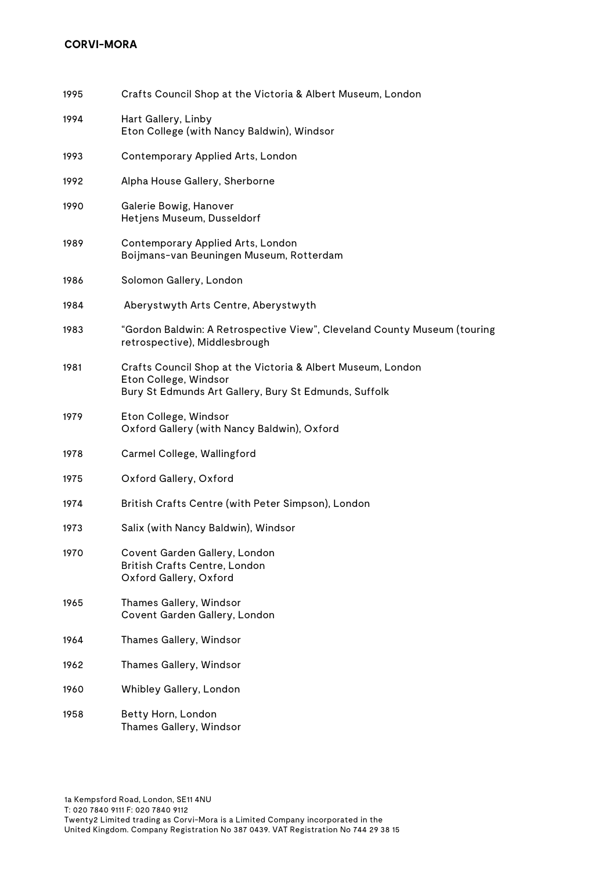| 1995 | Crafts Council Shop at the Victoria & Albert Museum, London                                                                                   |
|------|-----------------------------------------------------------------------------------------------------------------------------------------------|
| 1994 | Hart Gallery, Linby<br>Eton College (with Nancy Baldwin), Windsor                                                                             |
| 1993 | Contemporary Applied Arts, London                                                                                                             |
| 1992 | Alpha House Gallery, Sherborne                                                                                                                |
| 1990 | Galerie Bowig, Hanover<br>Hetjens Museum, Dusseldorf                                                                                          |
| 1989 | Contemporary Applied Arts, London<br>Boijmans-van Beuningen Museum, Rotterdam                                                                 |
| 1986 | Solomon Gallery, London                                                                                                                       |
| 1984 | Aberystwyth Arts Centre, Aberystwyth                                                                                                          |
| 1983 | "Gordon Baldwin: A Retrospective View", Cleveland County Museum (touring<br>retrospective), Middlesbrough                                     |
| 1981 | Crafts Council Shop at the Victoria & Albert Museum, London<br>Eton College, Windsor<br>Bury St Edmunds Art Gallery, Bury St Edmunds, Suffolk |
| 1979 | Eton College, Windsor<br>Oxford Gallery (with Nancy Baldwin), Oxford                                                                          |
| 1978 | Carmel College, Wallingford                                                                                                                   |
| 1975 | Oxford Gallery, Oxford                                                                                                                        |
| 1974 | British Crafts Centre (with Peter Simpson), London                                                                                            |
| 1973 | Salix (with Nancy Baldwin), Windsor                                                                                                           |
| 1970 | Covent Garden Gallery, London<br>British Crafts Centre, London<br>Oxford Gallery, Oxford                                                      |
| 1965 | Thames Gallery, Windsor<br>Covent Garden Gallery, London                                                                                      |
| 1964 | Thames Gallery, Windsor                                                                                                                       |
| 1962 | Thames Gallery, Windsor                                                                                                                       |
| 1960 | Whibley Gallery, London                                                                                                                       |
| 1958 | Betty Horn, London<br>Thames Gallery, Windsor                                                                                                 |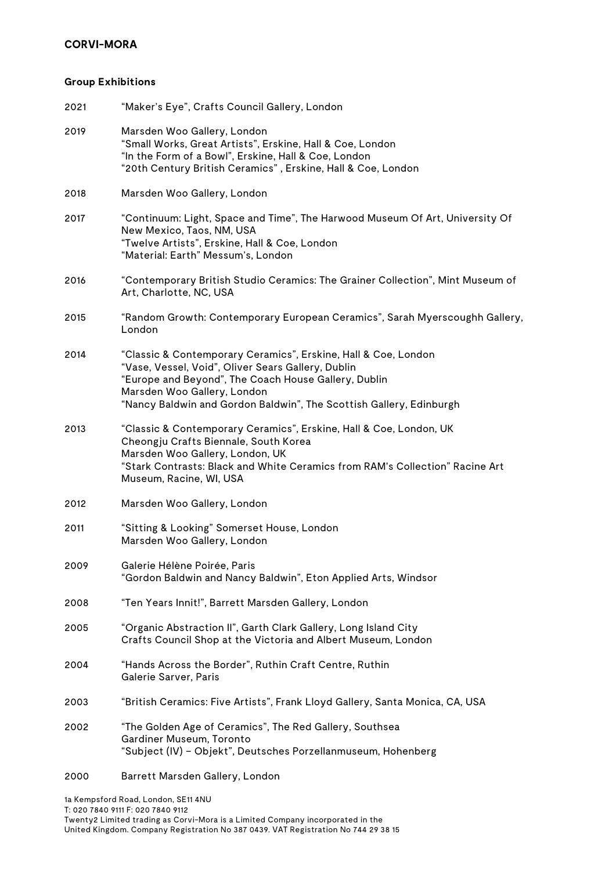## **Group Exhibitions**

| 2021 | "Maker's Eye", Crafts Council Gallery, London                                                                                                                                                                                                                                      |
|------|------------------------------------------------------------------------------------------------------------------------------------------------------------------------------------------------------------------------------------------------------------------------------------|
| 2019 | Marsden Woo Gallery, London<br>"Small Works, Great Artists", Erskine, Hall & Coe, London<br>"In the Form of a Bowl", Erskine, Hall & Coe, London<br>"20th Century British Ceramics", Erskine, Hall & Coe, London                                                                   |
| 2018 | Marsden Woo Gallery, London                                                                                                                                                                                                                                                        |
| 2017 | "Continuum: Light, Space and Time", The Harwood Museum Of Art, University Of<br>New Mexico, Taos, NM, USA<br>"Twelve Artists", Erskine, Hall & Coe, London<br>"Material: Earth" Messum's, London                                                                                   |
| 2016 | "Contemporary British Studio Ceramics: The Grainer Collection", Mint Museum of<br>Art, Charlotte, NC, USA                                                                                                                                                                          |
| 2015 | "Random Growth: Contemporary European Ceramics", Sarah Myerscoughh Gallery,<br>London                                                                                                                                                                                              |
| 2014 | "Classic & Contemporary Ceramics", Erskine, Hall & Coe, London<br>"Vase, Vessel, Void", Oliver Sears Gallery, Dublin<br>"Europe and Beyond", The Coach House Gallery, Dublin<br>Marsden Woo Gallery, London<br>"Nancy Baldwin and Gordon Baldwin", The Scottish Gallery, Edinburgh |
| 2013 | "Classic & Contemporary Ceramics", Erskine, Hall & Coe, London, UK<br>Cheongju Crafts Biennale, South Korea<br>Marsden Woo Gallery, London, UK<br>"Stark Contrasts: Black and White Ceramics from RAM's Collection" Racine Art<br>Museum, Racine, WI, USA                          |
| 2012 | Marsden Woo Gallery, London                                                                                                                                                                                                                                                        |
| 2011 | "Sitting & Looking" Somerset House, London<br>Marsden Woo Gallery, London                                                                                                                                                                                                          |
| 2009 | Galerie Hélène Poirée, Paris<br>"Gordon Baldwin and Nancy Baldwin", Eton Applied Arts, Windsor                                                                                                                                                                                     |
| 2008 | "Ten Years Innit!", Barrett Marsden Gallery, London                                                                                                                                                                                                                                |
| 2005 | "Organic Abstraction II", Garth Clark Gallery, Long Island City<br>Crafts Council Shop at the Victoria and Albert Museum, London                                                                                                                                                   |
| 2004 | "Hands Across the Border", Ruthin Craft Centre, Ruthin<br>Galerie Sarver, Paris                                                                                                                                                                                                    |
| 2003 | "British Ceramics: Five Artists", Frank Lloyd Gallery, Santa Monica, CA, USA                                                                                                                                                                                                       |
| 2002 | "The Golden Age of Ceramics", The Red Gallery, Southsea<br>Gardiner Museum, Toronto<br>"Subject (IV) – Objekt", Deutsches Porzellanmuseum, Hohenberg                                                                                                                               |
| 2000 | Barrett Marsden Gallery, London                                                                                                                                                                                                                                                    |

1a Kempsford Road, London, SE11 4NU T: 020 7840 9111 F: 020 7840 9112 Twenty2 Limited trading as Corvi-Mora is a Limited Company incorporated in the United Kingdom. Company Registration No 387 0439. VAT Registration No 744 29 38 15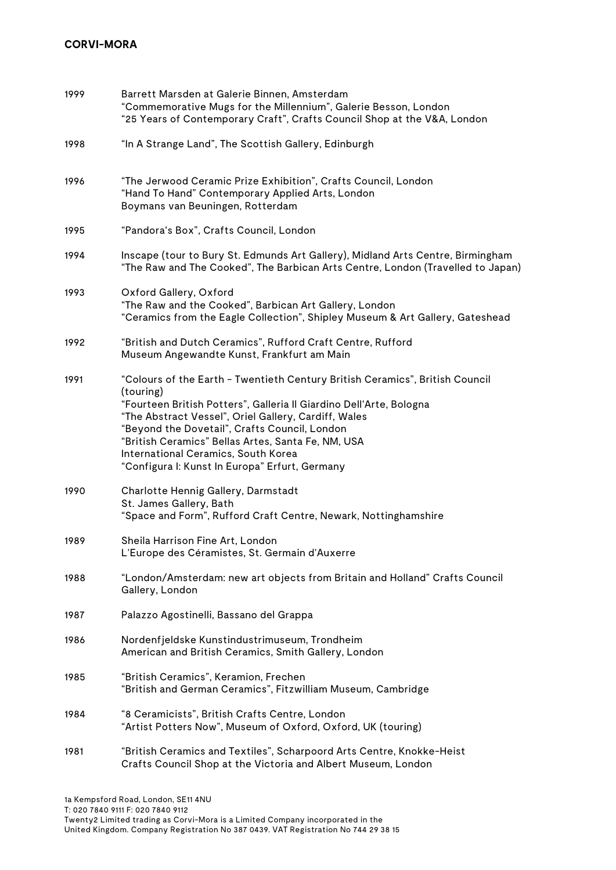| 1999 | Barrett Marsden at Galerie Binnen, Amsterdam<br>"Commemorative Mugs for the Millennium", Galerie Besson, London<br>"25 Years of Contemporary Craft", Crafts Council Shop at the V&A, London                                                                                                                                                                                                                              |
|------|--------------------------------------------------------------------------------------------------------------------------------------------------------------------------------------------------------------------------------------------------------------------------------------------------------------------------------------------------------------------------------------------------------------------------|
| 1998 | "In A Strange Land", The Scottish Gallery, Edinburgh                                                                                                                                                                                                                                                                                                                                                                     |
| 1996 | "The Jerwood Ceramic Prize Exhibition", Crafts Council, London<br>"Hand To Hand" Contemporary Applied Arts, London<br>Boymans van Beuningen, Rotterdam                                                                                                                                                                                                                                                                   |
| 1995 | "Pandora's Box", Crafts Council, London                                                                                                                                                                                                                                                                                                                                                                                  |
| 1994 | Inscape (tour to Bury St. Edmunds Art Gallery), Midland Arts Centre, Birmingham<br>"The Raw and The Cooked", The Barbican Arts Centre, London (Travelled to Japan)                                                                                                                                                                                                                                                       |
| 1993 | Oxford Gallery, Oxford<br>"The Raw and the Cooked", Barbican Art Gallery, London<br>"Ceramics from the Eagle Collection", Shipley Museum & Art Gallery, Gateshead                                                                                                                                                                                                                                                        |
| 1992 | "British and Dutch Ceramics", Rufford Craft Centre, Rufford<br>Museum Angewandte Kunst, Frankfurt am Main                                                                                                                                                                                                                                                                                                                |
| 1991 | "Colours of the Earth - Twentieth Century British Ceramics", British Council<br>(touring)<br>"Fourteen British Potters", Galleria II Giardino Dell'Arte, Bologna<br>"The Abstract Vessel", Oriel Gallery, Cardiff, Wales<br>"Beyond the Dovetail", Crafts Council, London<br>"British Ceramics" Bellas Artes, Santa Fe, NM, USA<br>International Ceramics, South Korea<br>"Configura I: Kunst In Europa" Erfurt, Germany |
| 1990 | Charlotte Hennig Gallery, Darmstadt<br>St. James Gallery, Bath<br>"Space and Form", Rufford Craft Centre, Newark, Nottinghamshire                                                                                                                                                                                                                                                                                        |
| 1989 | Sheila Harrison Fine Art, London<br>L'Europe des Céramistes, St. Germain d'Auxerre                                                                                                                                                                                                                                                                                                                                       |
| 1988 | "London/Amsterdam: new art objects from Britain and Holland" Crafts Council<br>Gallery, London                                                                                                                                                                                                                                                                                                                           |
| 1987 | Palazzo Agostinelli, Bassano del Grappa                                                                                                                                                                                                                                                                                                                                                                                  |
| 1986 | Nordenfjeldske Kunstindustrimuseum, Trondheim<br>American and British Ceramics, Smith Gallery, London                                                                                                                                                                                                                                                                                                                    |
| 1985 | "British Ceramics", Keramion, Frechen<br>"British and German Ceramics", Fitzwilliam Museum, Cambridge                                                                                                                                                                                                                                                                                                                    |
| 1984 | "8 Ceramicists", British Crafts Centre, London<br>"Artist Potters Now", Museum of Oxford, Oxford, UK (touring)                                                                                                                                                                                                                                                                                                           |
| 1981 | "British Ceramics and Textiles", Scharpoord Arts Centre, Knokke-Heist<br>Crafts Council Shop at the Victoria and Albert Museum, London                                                                                                                                                                                                                                                                                   |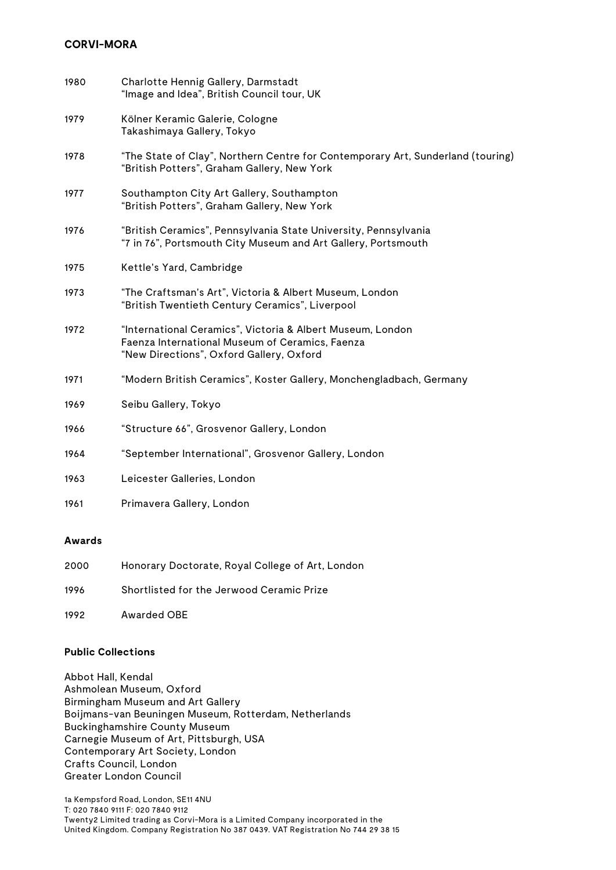| 1980 | Charlotte Hennig Gallery, Darmstadt<br>"Image and Idea", British Council tour, UK                                                                         |
|------|-----------------------------------------------------------------------------------------------------------------------------------------------------------|
| 1979 | Kölner Keramic Galerie, Cologne<br>Takashimaya Gallery, Tokyo                                                                                             |
| 1978 | "The State of Clay", Northern Centre for Contemporary Art, Sunderland (touring)<br>"British Potters", Graham Gallery, New York                            |
| 1977 | Southampton City Art Gallery, Southampton<br>"British Potters", Graham Gallery, New York                                                                  |
| 1976 | "British Ceramics", Pennsylvania State University, Pennsylvania<br>"7 in 76", Portsmouth City Museum and Art Gallery, Portsmouth                          |
| 1975 | Kettle's Yard, Cambridge                                                                                                                                  |
| 1973 | "The Craftsman's Art", Victoria & Albert Museum, London<br>"British Twentieth Century Ceramics", Liverpool                                                |
| 1972 | "International Ceramics", Victoria & Albert Museum, London<br>Faenza International Museum of Ceramics, Faenza<br>"New Directions", Oxford Gallery, Oxford |
| 1971 | "Modern British Ceramics", Koster Gallery, Monchengladbach, Germany                                                                                       |
| 1969 | Seibu Gallery, Tokyo                                                                                                                                      |
| 1966 | "Structure 66", Grosvenor Gallery, London                                                                                                                 |
| 1964 | "September International", Grosvenor Gallery, London                                                                                                      |
| 1963 | Leicester Galleries, London                                                                                                                               |
| 1961 | Primavera Gallery, London                                                                                                                                 |

### **Awards**

| 2000 | Honorary Doctorate, Royal College of Art, London |
|------|--------------------------------------------------|
| 1996 | Shortlisted for the Jerwood Ceramic Prize        |
| 1992 | Awarded OBE                                      |

# **Public Collections**

Abbot Hall, Kendal Ashmolean Museum, Oxford Birmingham Museum and Art Gallery Boijmans-van Beuningen Museum, Rotterdam, Netherlands Buckinghamshire County Museum Carnegie Museum of Art, Pittsburgh, USA Contemporary Art Society, London Crafts Council, London Greater London Council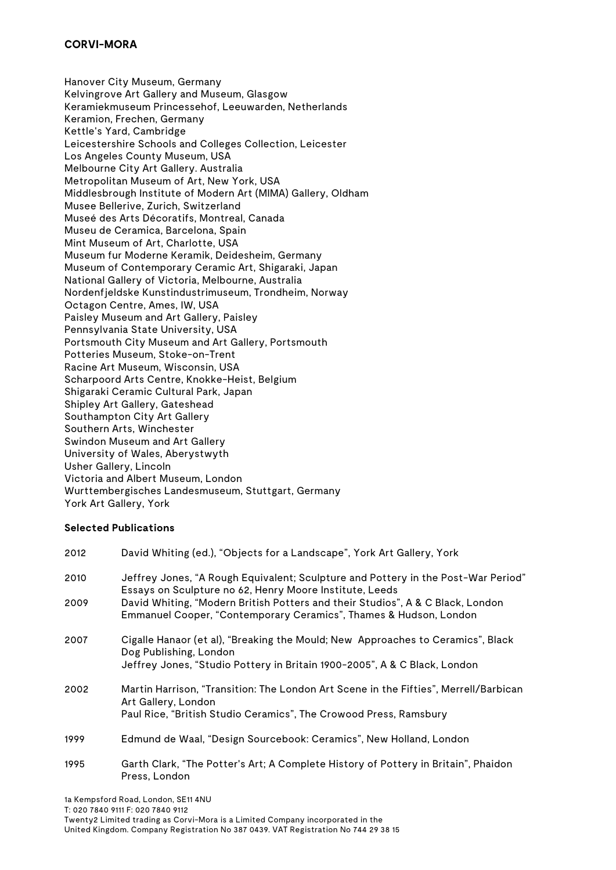Hanover City Museum, Germany Kelvingrove Art Gallery and Museum, Glasgow Keramiekmuseum Princessehof, Leeuwarden, Netherlands Keramion, Frechen, Germany Kettle's Yard, Cambridge Leicestershire Schools and Colleges Collection, Leicester Los Angeles County Museum, USA Melbourne City Art Gallery. Australia Metropolitan Museum of Art, New York, USA Middlesbrough Institute of Modern Art (MIMA) Gallery, Oldham Musee Bellerive, Zurich, Switzerland Museé des Arts Décoratifs, Montreal, Canada Museu de Ceramica, Barcelona, Spain Mint Museum of Art, Charlotte, USA Museum fur Moderne Keramik, Deidesheim, Germany Museum of Contemporary Ceramic Art, Shigaraki, Japan National Gallery of Victoria, Melbourne, Australia Nordenfjeldske Kunstindustrimuseum, Trondheim, Norway Octagon Centre, Ames, IW, USA Paisley Museum and Art Gallery, Paisley Pennsylvania State University, USA Portsmouth City Museum and Art Gallery, Portsmouth Potteries Museum, Stoke-on-Trent Racine Art Museum, Wisconsin, USA Scharpoord Arts Centre, Knokke-Heist, Belgium Shigaraki Ceramic Cultural Park, Japan Shipley Art Gallery, Gateshead Southampton City Art Gallery Southern Arts, Winchester Swindon Museum and Art Gallery University of Wales, Aberystwyth Usher Gallery, Lincoln Victoria and Albert Museum, London Wurttembergisches Landesmuseum, Stuttgart, Germany York Art Gallery, York

### **Selected Publications**

| 2012 | David Whiting (ed.), "Objects for a Landscape", York Art Gallery, York                                                                              |
|------|-----------------------------------------------------------------------------------------------------------------------------------------------------|
| 2010 | Jeffrey Jones, "A Rough Equivalent; Sculpture and Pottery in the Post-War Period"<br>Essays on Sculpture no 62, Henry Moore Institute, Leeds        |
| 2009 | David Whiting, "Modern British Potters and their Studios", A & C Black, London<br>Emmanuel Cooper, "Contemporary Ceramics", Thames & Hudson, London |
| 2007 | Cigalle Hanaor (et al), "Breaking the Mould; New Approaches to Ceramics", Black<br>Dog Publishing, London                                           |
|      | Jeffrey Jones, "Studio Pottery in Britain 1900-2005", A & C Black, London                                                                           |
| 2002 | Martin Harrison, "Transition: The London Art Scene in the Fifties", Merrell/Barbican<br>Art Gallery, London                                         |
|      | Paul Rice, "British Studio Ceramics", The Crowood Press, Ramsbury                                                                                   |
| 1999 | Edmund de Waal, "Design Sourcebook: Ceramics", New Holland, London                                                                                  |
| 1995 | Garth Clark, "The Potter's Art; A Complete History of Pottery in Britain", Phaidon<br>Press, London                                                 |